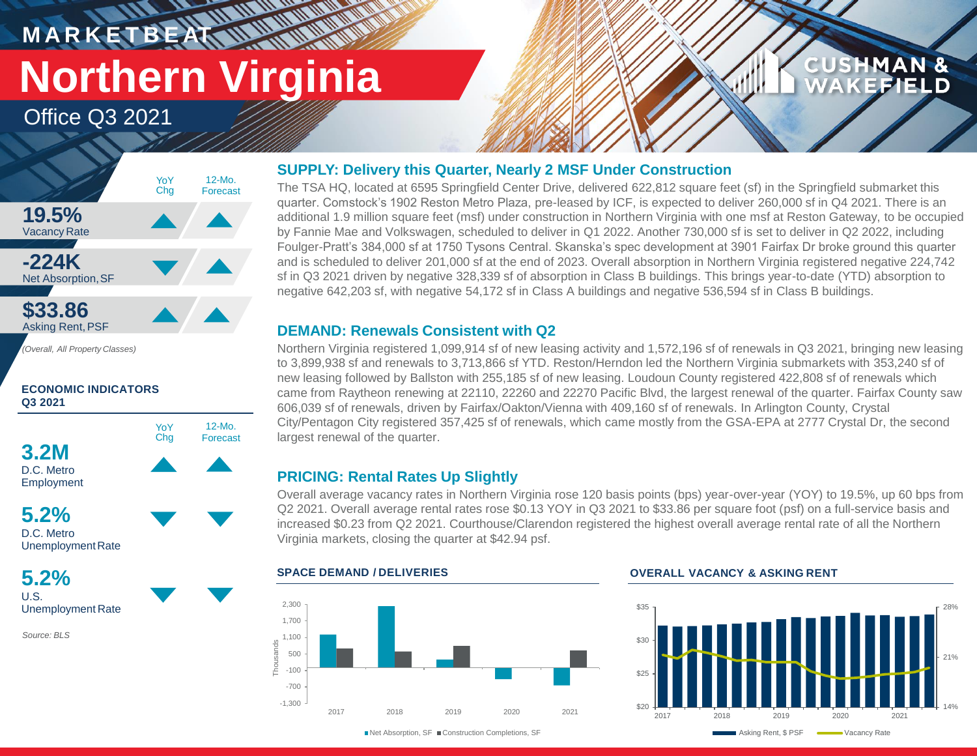## **M A R K E T B E AT Northern Virginia**

**WATER** 

Office Q3 2021



**ECONOMIC INDICATORS Q3 2021**



D.C. Metro UnemploymentRate

**5.2%** U.S. Unemployment Rate

*Source: BLS*

## **SUPPLY: Delivery this Quarter, Nearly 2 MSF Under Construction**

The TSA HQ, located at 6595 Springfield Center Drive, delivered 622,812 square feet (sf) in the Springfield submarket this quarter. Comstock's 1902 Reston Metro Plaza, pre-leased by ICF, is expected to deliver 260,000 sf in Q4 2021. There is an additional 1.9 million square feet (msf) under construction in Northern Virginia with one msf at Reston Gateway, to be occupied by Fannie Mae and Volkswagen, scheduled to deliver in Q1 2022. Another 730,000 sf is set to deliver in Q2 2022, including Foulger-Pratt's 384,000 sf at 1750 Tysons Central. Skanska's spec development at 3901 Fairfax Dr broke ground this quarter and is scheduled to deliver 201,000 sf at the end of 2023. Overall absorption in Northern Virginia registered negative 224,742 sf in Q3 2021 driven by negative 328,339 sf of absorption in Class B buildings. This brings year-to-date (YTD) absorption to negative 642,203 sf, with negative 54,172 sf in Class A buildings and negative 536,594 sf in Class B buildings.

## **DEMAND: Renewals Consistent with Q2**

Northern Virginia registered 1,099,914 sf of new leasing activity and 1,572,196 sf of renewals in Q3 2021, bringing new leasing to 3,899,938 sf and renewals to 3,713,866 sf YTD. Reston/Herndon led the Northern Virginia submarkets with 353,240 sf of new leasing followed by Ballston with 255,185 sf of new leasing. Loudoun County registered 422,808 sf of renewals which came from Raytheon renewing at 22110, 22260 and 22270 Pacific Blvd, the largest renewal of the quarter. Fairfax County saw 606,039 sf of renewals, driven by Fairfax/Oakton/Vienna with 409,160 sf of renewals. In Arlington County, Crystal City/Pentagon City registered 357,425 sf of renewals, which came mostly from the GSA-EPA at 2777 Crystal Dr, the second largest renewal of the quarter.

## **PRICING: Rental Rates Up Slightly**

Overall average vacancy rates in Northern Virginia rose 120 basis points (bps) year-over-year (YOY) to 19.5%, up 60 bps from Q2 2021. Overall average rental rates rose \$0.13 YOY in Q3 2021 to \$33.86 per square foot (psf) on a full-service basis and increased \$0.23 from Q2 2021. Courthouse/Clarendon registered the highest overall average rental rate of all the Northern Virginia markets, closing the quarter at \$42.94 psf.



## **SPACE DEMAND / DELIVERIES OVERALL VACANCY & ASKING RENT**



**CUSHMAN &** 

**CEFIELD** 

■Net Absorption, SF ■ Construction Completions, SF